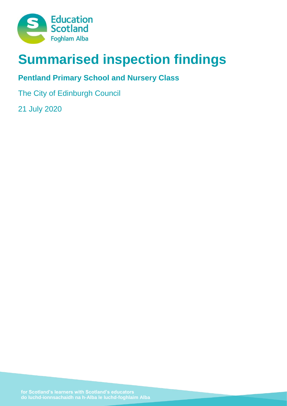

# **Summarised inspection findings**

## **Pentland Primary School and Nursery Class**

The City of Edinburgh Council

21 July 2020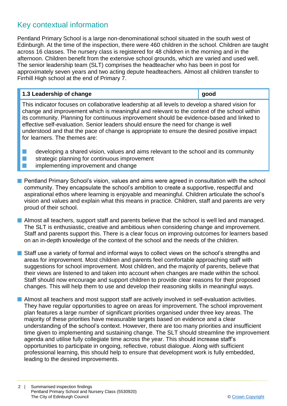### Key contextual information

Pentland Primary School is a large non-denominational school situated in the south west of Edinburgh. At the time of the inspection, there were 460 children in the school. Children are taught across 16 classes. The nursery class is registered for 48 children in the morning and in the afternoon. Children benefit from the extensive school grounds, which are varied and used well. The senior leadership team (SLT) comprises the headteacher who has been in post for approximately seven years and two acting depute headteachers. Almost all children transfer to Firrhill High school at the end of Primary 7.

# **1.3 Leadership of change good**

This indicator focuses on collaborative leadership at all levels to develop a shared vision for change and improvement which is meaningful and relevant to the context of the school within its community. Planning for continuous improvement should be evidence-based and linked to effective self-evaluation. Senior leaders should ensure the need for change is well understood and that the pace of change is appropriate to ensure the desired positive impact for learners. The themes are:

 $\blacksquare$  developing a shared vision, values and aims relevant to the school and its community  $\blacksquare$  strategic planning for continuous improvement **n** implementing improvement and change

- **n** Pentland Primary School's vision, values and aims were agreed in consultation with the school community. They encapsulate the school's ambition to create a supportive, respectful and aspirational ethos where learning is enjoyable and meaningful. Children articulate the school's vision and values and explain what this means in practice. Children, staff and parents are very proud of their school.
- **n** Almost all teachers, support staff and parents believe that the school is well led and managed. The SLT is enthusiastic, creative and ambitious when considering change and improvement. Staff and parents support this. There is a clear focus on improving outcomes for learners based on an in-depth knowledge of the context of the school and the needs of the children.
- $\blacksquare$  Staff use a variety of formal and informal ways to collect views on the school's strengths and areas for improvement. Most children and parents feel comfortable approaching staff with suggestions for school improvement. Most children, and the majority of parents, believe that their views are listened to and taken into account when changes are made within the school. Staff should now encourage and support children to provide clear reasons for their proposed changes. This will help them to use and develop their reasoning skills in meaningful ways.
- **Numost all teachers and most support staff are actively involved in self-evaluation activities.** They have regular opportunities to agree on areas for improvement. The school improvement plan features a large number of significant priorities organised under three key areas. The majority of these priorities have measurable targets based on evidence and a clear understanding of the school's context. However, there are too many priorities and insufficient time given to implementing and sustaining change. The SLT should streamline the improvement agenda and utilise fully collegiate time across the year. This should increase staff's opportunities to participate in ongoing, reflective, robust dialogue. Along with sufficient professional learning, this should help to ensure that development work is fully embedded, leading to the desired improvements.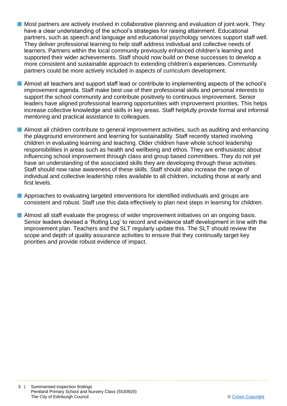- $\blacksquare$  Most partners are actively involved in collaborative planning and evaluation of joint work. They have a clear understanding of the school's strategies for raising attainment. Educational partners, such as speech and language and educational psychology services support staff well. They deliver professional learning to help staff address individual and collective needs of learners. Partners within the local community previously enhanced children's learning and supported their wider achievements. Staff should now build on these successes to develop a more consistent and sustainable approach to extending children's experiences. Community partners could be more actively included in aspects of curriculum development.
- Almost all teachers and support staff lead or contribute to implementing aspects of the school's improvement agenda. Staff make best use of their professional skills and personal interests to support the school community and contribute positively to continuous improvement. Senior leaders have aligned professional learning opportunities with improvement priorities. This helps increase collective knowledge and skills in key areas. Staff helpfully provide formal and informal mentoring and practical assistance to colleagues.
- **n** Almost all children contribute to general improvement activities, such as auditing and enhancing the playground environment and learning for sustainability. Staff recently started involving children in evaluating learning and teaching. Older children have whole school leadership responsibilities in areas such as health and wellbeing and ethos. They are enthusiastic about influencing school improvement through class and group based committees. They do not yet have an understanding of the associated skills they are developing through these activities. Staff should now raise awareness of these skills. Staff should also increase the range of individual and collective leadership roles available to all children, including those at early and first levels.
- $\blacksquare$  Approaches to evaluating targeted interventions for identified individuals and groups are consistent and robust. Staff use this data effectively to plan next steps in learning for children.
- $\blacksquare$  Almost all staff evaluate the progress of wider improvement initiatives on an ongoing basis. Senior leaders devised a 'Rolling Log' to record and evidence staff development in line with the improvement plan. Teachers and the SLT regularly update this. The SLT should review the scope and depth of quality assurance activities to ensure that they continually target key priorities and provide robust evidence of impact.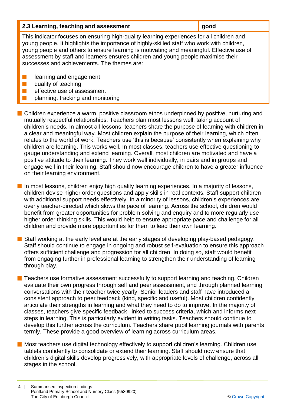| good<br>2.3 Learning, teaching and assessment |  |
|-----------------------------------------------|--|
|-----------------------------------------------|--|

This indicator focuses on ensuring high-quality learning experiences for all children and young people. It highlights the importance of highly-skilled staff who work with children, young people and others to ensure learning is motivating and meaningful. Effective use of assessment by staff and learners ensures children and young people maximise their successes and achievements. The themes are:

- **n** learning and engagement
- $\blacksquare$  quality of teaching
	- effective use of assessment
	- planning, tracking and monitoring

 $\blacksquare$  Children experience a warm, positive classroom ethos underpinned by positive, nurturing and mutually respectful relationships. Teachers plan most lessons well, taking account of children's needs. In almost all lessons, teachers share the purpose of learning with children in a clear and meaningful way. Most children explain the purpose of their learning, which often relates to the world of work. Teachers use 'this is because' consistently when explaining why children are learning. This works well. In most classes, teachers use effective questioning to gauge understanding and extend learning. Overall, most children are motivated and have a positive attitude to their learning. They work well individually, in pairs and in groups and engage well in their learning. Staff should now encourage children to have a greater influence on their learning environment.

 $\blacksquare$  In most lessons, children enjoy high quality learning experiences. In a majority of lessons, children devise higher order questions and apply skills in real contexts. Staff support children with additional support needs effectively. In a minority of lessons, children's experiences are overly teacher-directed which slows the pace of learning. Across the school, children would benefit from greater opportunities for problem solving and enquiry and to more regularly use higher order thinking skills. This would help to ensure appropriate pace and challenge for all children and provide more opportunities for them to lead their own learning.

 $\blacksquare$  Staff working at the early level are at the early stages of developing play-based pedagogy. Staff should continue to engage in ongoing and robust self-evaluation to ensure this approach offers sufficient challenge and progression for all children. In doing so, staff would benefit from engaging further in professional learning to strengthen their understanding of learning through play.

■ Teachers use formative assessment successfully to support learning and teaching. Children evaluate their own progress through self and peer assessment, and through planned learning conversations with their teacher twice yearly. Senior leaders and staff have introduced a consistent approach to peer feedback (kind, specific and useful). Most children confidently articulate their strengths in learning and what they need to do to improve. In the majority of classes, teachers give specific feedback, linked to success criteria, which and informs next steps in learning. This is particularly evident in writing tasks. Teachers should continue to develop this further across the curriculum. Teachers share pupil learning journals with parents termly. These provide a good overview of learning across curriculum areas.

■ Most teachers use digital technology effectively to support children's learning. Children use tablets confidently to consolidate or extend their learning. Staff should now ensure that children's digital skills develop progressively, with appropriate levels of challenge, across all stages in the school.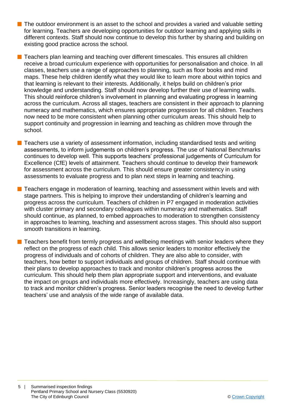$\blacksquare$  The outdoor environment is an asset to the school and provides a varied and valuable setting for learning. Teachers are developing opportunities for outdoor learning and applying skills in different contexts. Staff should now continue to develop this further by sharing and building on existing good practice across the school.

 $\blacksquare$  Teachers plan learning and teaching over different timescales. This ensures all children receive a broad curriculum experience with opportunities for personalisation and choice. In all classes, teachers use a range of approaches to planning, such as floor books and mind maps. These help children identify what they would like to learn more about within topics and that learning is relevant to their interests. Additionally, it helps build on children's prior knowledge and understanding. Staff should now develop further their use of learning walls. This should reinforce children's involvement in planning and evaluating progress in learning across the curriculum. Across all stages, teachers are consistent in their approach to planning numeracy and mathematics, which ensures appropriate progression for all children. Teachers now need to be more consistent when planning other curriculum areas. This should help to support continuity and progression in learning and teaching as children move through the school.

 $\blacksquare$  Teachers use a variety of assessment information, including standardised tests and writing assessments, to inform judgements on children's progress. The use of National Benchmarks continues to develop well. This supports teachers' professional judgements of Curriculum for Excellence (CfE) levels of attainment. Teachers should continue to develop their framework for assessment across the curriculum. This should ensure greater consistency in using assessments to evaluate progress and to plan next steps in learning and teaching.

■ Teachers engage in moderation of learning, teaching and assessment within levels and with stage partners. This is helping to improve their understanding of children's learning and progress across the curriculum. Teachers of children in P7 engaged in moderation activities with cluster primary and secondary colleagues within numeracy and mathematics. Staff should continue, as planned, to embed approaches to moderation to strengthen consistency in approaches to learning, teaching and assessment across stages. This should also support smooth transitions in learning.

 $\blacksquare$  Teachers benefit from termly progress and wellbeing meetings with senior leaders where they reflect on the progress of each child. This allows senior leaders to monitor effectively the progress of individuals and of cohorts of children. They are also able to consider, with teachers, how better to support individuals and groups of children. Staff should continue with their plans to develop approaches to track and monitor children's progress across the curriculum. This should help them plan appropriate support and interventions, and evaluate the impact on groups and individuals more effectively. Increasingly, teachers are using data to track and monitor children's progress. Senior leaders recognise the need to develop further teachers' use and analysis of the wide range of available data.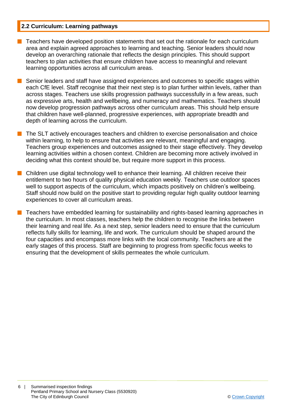#### **2.2 Curriculum: Learning pathways**

- n Teachers have developed position statements that set out the rationale for each curriculum area and explain agreed approaches to learning and teaching. Senior leaders should now develop an overarching rationale that reflects the design principles. This should support teachers to plan activities that ensure children have access to meaningful and relevant learning opportunities across all curriculum areas.
- Senior leaders and staff have assigned experiences and outcomes to specific stages within each CfE level. Staff recognise that their next step is to plan further within levels, rather than across stages. Teachers use skills progression pathways successfully in a few areas, such as expressive arts, health and wellbeing, and numeracy and mathematics. Teachers should now develop progression pathways across other curriculum areas. This should help ensure that children have well-planned, progressive experiences, with appropriate breadth and depth of learning across the curriculum.
- **n** The SLT actively encourages teachers and children to exercise personalisation and choice within learning, to help to ensure that activities are relevant, meaningful and engaging. Teachers group experiences and outcomes assigned to their stage effectively. They develop learning activities within a chosen context. Children are becoming more actively involved in deciding what this context should be, but require more support in this process.
- $\blacksquare$  Children use digital technology well to enhance their learning. All children receive their entitlement to two hours of quality physical education weekly. Teachers use outdoor spaces well to support aspects of the curriculum, which impacts positively on children's wellbeing. Staff should now build on the positive start to providing regular high quality outdoor learning experiences to cover all curriculum areas.
	- n Teachers have embedded learning for sustainability and rights-based learning approaches in the curriculum. In most classes, teachers help the children to recognise the links between their learning and real life. As a next step, senior leaders need to ensure that the curriculum reflects fully skills for learning, life and work. The curriculum should be shaped around the four capacities and encompass more links with the local community. Teachers are at the early stages of this process. Staff are beginning to progress from specific focus weeks to ensuring that the development of skills permeates the whole curriculum.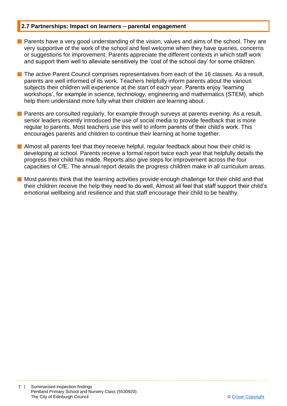#### **2.7 Partnerships: Impact on learners – parental engagement**

- **n** Parents have a very good understanding of the vision, values and aims of the school. They are very supportive of the work of the school and feel welcome when they have queries, concerns or suggestions for improvement. Parents appreciate the different contexts in which staff work and support them well to alleviate sensitively the 'cost of the school day' for some children.
- $\blacksquare$  The active Parent Council comprises representatives from each of the 16 classes. As a result, parents are well informed of its work. Teachers helpfully inform parents about the various subjects their children will experience at the start of each year. Parents enjoy 'learning workshops', for example in science, technology, engineering and mathematics (STEM), which help them understand more fully what their children are learning about.
- $\blacksquare$  Parents are consulted regularly, for example through surveys at parents evening. As a result, senior leaders recently introduced the use of social media to provide feedback that is more regular to parents. Most teachers use this well to inform parents of their child's work. This encourages parents and children to continue their learning at home together.
- $\blacksquare$  Almost all parents feel that they receive helpful, regular feedback about how their child is developing at school. Parents receive a formal report twice each year that helpfully details the progress their child has made. Reports also give steps for improvement across the four capacities of CfE. The annual report details the progress children make in all curriculum areas.
- **n** Most parents think that the learning activities provide enough challenge for their child and that their children receive the help they need to do well. Almost all feel that staff support their child's emotional wellbeing and resilience and that staff encourage their child to be healthy.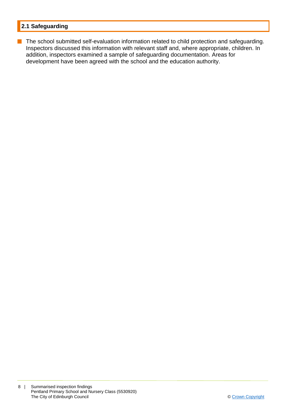#### **2.1 Safeguarding**

**n** The school submitted self-evaluation information related to child protection and safeguarding. Inspectors discussed this information with relevant staff and, where appropriate, children. In addition, inspectors examined a sample of safeguarding documentation. Areas for development have been agreed with the school and the education authority.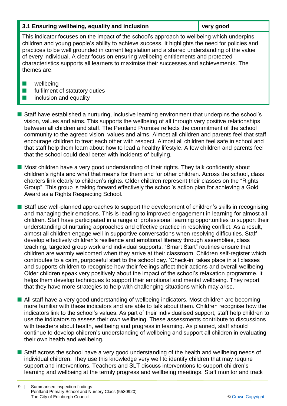#### **3.1 Ensuring wellbeing, equality and inclusion very good**

This indicator focuses on the impact of the school's approach to wellbeing which underpins children and young people's ability to achieve success. It highlights the need for policies and practices to be well grounded in current legislation and a shared understanding of the value of every individual. A clear focus on ensuring wellbeing entitlements and protected characteristics supports all learners to maximise their successes and achievements. The themes are:

- $\blacksquare$  wellbeing
- $\blacksquare$  fulfilment of statutory duties
- $\blacksquare$  inclusion and equality

**n** Staff have established a nurturing, inclusive learning environment that underpins the school's vision, values and aims. This supports the wellbeing of all through very positive relationships between all children and staff. The Pentland Promise reflects the commitment of the school community to the agreed vision, values and aims. Almost all children and parents feel that staff encourage children to treat each other with respect. Almost all children feel safe in school and that staff help them learn about how to lead a healthy lifestyle. A few children and parents feel that the school could deal better with incidents of bullying.

 $\blacksquare$  Most children have a very good understanding of their rights. They talk confidently about children's rights and what that means for them and for other children. Across the school, class charters link clearly to children's rights. Older children represent their classes on the "Rights Group". This group is taking forward effectively the school's action plan for achieving a Gold Award as a Rights Respecting School.

**n** Staff use well-planned approaches to support the development of children's skills in recognising and managing their emotions. This is leading to improved engagement in learning for almost all children. Staff have participated in a range of professional learning opportunities to support their understanding of nurturing approaches and effective practice in resolving conflict. As a result, almost all children engage well in supportive conversations when resolving difficulties. Staff develop effectively children's resilience and emotional literacy through assemblies, class teaching, targeted group work and individual supports. "Smart Start" routines ensure that children are warmly welcomed when they arrive at their classroom. Children self-register which contributes to a calm, purposeful start to the school day. 'Check-in' takes place in all classes and supports children to recognise how their feelings affect their actions and overall wellbeing. Older children speak very positively about the impact of the school's relaxation programme. It helps them develop techniques to support their emotional and mental wellbeing. They report that they have more strategies to help with challenging situations which may arise.

■ All staff have a very good understanding of wellbeing indicators. Most children are becoming more familiar with these indicators and are able to talk about them. Children recognise how the indicators link to the school's values. As part of their individualised support, staff help children to use the indicators to assess their own wellbeing. These assessments contribute to discussions with teachers about health, wellbeing and progress in learning. As planned, staff should continue to develop children's understanding of wellbeing and support all children in evaluating their own health and wellbeing.

■ Staff across the school have a very good understanding of the health and wellbeing needs of individual children. They use this knowledge very well to identify children that may require support and interventions. Teachers and SLT discuss interventions to support children's learning and wellbeing at the termly progress and wellbeing meetings. Staff monitor and track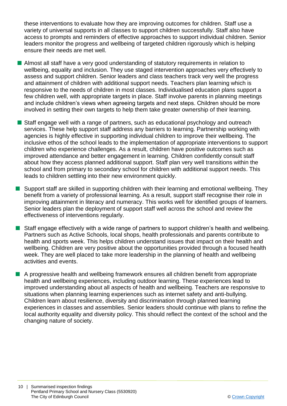these interventions to evaluate how they are improving outcomes for children. Staff use a variety of universal supports in all classes to support children successfully. Staff also have access to prompts and reminders of effective approaches to support individual children. Senior leaders monitor the progress and wellbeing of targeted children rigorously which is helping ensure their needs are met well.

- **n** Almost all staff have a very good understanding of statutory requirements in relation to wellbeing, equality and inclusion. They use staged intervention approaches very effectively to assess and support children. Senior leaders and class teachers track very well the progress and attainment of children with additional support needs. Teachers plan learning which is responsive to the needs of children in most classes. Individualised education plans support a few children well, with appropriate targets in place. Staff involve parents in planning meetings and include children's views when agreeing targets and next steps. Children should be more involved in setting their own targets to help them take greater ownership of their learning.
- Staff engage well with a range of partners, such as educational psychology and outreach services. These help support staff address any barriers to learning. Partnership working with agencies is highly effective in supporting individual children to improve their wellbeing. The inclusive ethos of the school leads to the implementation of appropriate interventions to support children who experience challenges. As a result, children have positive outcomes such as improved attendance and better engagement in learning. Children confidently consult staff about how they access planned additional support. Staff plan very well transitions within the school and from primary to secondary school for children with additional support needs. This leads to children settling into their new environment quickly.
- $\blacksquare$  Support staff are skilled in supporting children with their learning and emotional wellbeing. They benefit from a variety of professional learning. As a result, support staff recognise their role in improving attainment in literacy and numeracy. This works well for identified groups of learners. Senior leaders plan the deployment of support staff well across the school and review the effectiveness of interventions regularly.
- $\blacksquare$  Staff engage effectively with a wide range of partners to support children's health and wellbeing. Partners such as Active Schools, local shops, health professionals and parents contribute to health and sports week. This helps children understand issues that impact on their health and wellbeing. Children are very positive about the opportunities provided through a focused health week. They are well placed to take more leadership in the planning of health and wellbeing activities and events.
- $\blacksquare$  A progressive health and wellbeing framework ensures all children benefit from appropriate health and wellbeing experiences, including outdoor learning. These experiences lead to improved understanding about all aspects of health and wellbeing. Teachers are responsive to situations when planning learning experiences such as internet safety and anti-bullying. Children learn about resilience, diversity and discrimination through planned learning experiences in classes and assemblies. Senior leaders should continue with plans to refine the local authority equality and diversity policy. This should reflect the context of the school and the changing nature of society.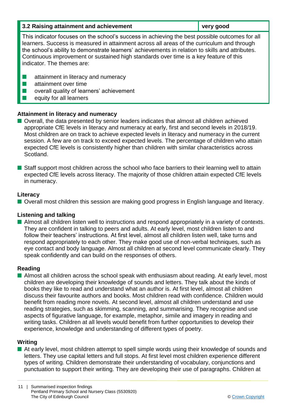| 3.2 Raising attainment and achievement                                                                                                                                                                                                                                                                                                                                                                                  | very good |
|-------------------------------------------------------------------------------------------------------------------------------------------------------------------------------------------------------------------------------------------------------------------------------------------------------------------------------------------------------------------------------------------------------------------------|-----------|
| This indicator focuses on the school's success in achieving the best possible outcomes for all<br>learners. Success is measured in attainment across all areas of the curriculum and through<br>the school's ability to demonstrate learners' achievements in relation to skills and attributes.<br>Continuous improvement or sustained high standards over time is a key feature of this<br>indicator. The themes are: |           |

- $\blacksquare$  attainment in literacy and numeracy
- $\blacksquare$  attainment over time
- $\blacksquare$  overall quality of learners' achievement
- $\blacksquare$  equity for all learners

#### **Attainment in literacy and numeracy**

- Overall, the data presented by senior leaders indicates that almost all children achieved appropriate CfE levels in literacy and numeracy at early, first and second levels in 2018/19. Most children are on track to achieve expected levels in literacy and numeracy in the current session. A few are on track to exceed expected levels. The percentage of children who attain expected CfE levels is consistently higher than children with similar characteristics across Scotland.
- Staff support most children across the school who face barriers to their learning well to attain expected CfE levels across literacy. The majority of those children attain expected CfE levels in numeracy.

#### **Literacy**

■ Overall most children this session are making good progress in English language and literacy.

#### **Listening and talking**

**n** Almost all children listen well to instructions and respond appropriately in a variety of contexts. They are confident in talking to peers and adults. At early level, most children listen to and follow their teachers' instructions. At first level, almost all children listen well, take turns and respond appropriately to each other. They make good use of non-verbal techniques, such as eye contact and body language. Almost all children at second level communicate clearly. They speak confidently and can build on the responses of others.

#### **Reading**

**n** Almost all children across the school speak with enthusiasm about reading. At early level, most children are developing their knowledge of sounds and letters. They talk about the kinds of books they like to read and understand what an author is. At first level, almost all children discuss their favourite authors and books. Most children read with confidence. Children would benefit from reading more novels. At second level, almost all children understand and use reading strategies, such as skimming, scanning, and summarising. They recognise and use aspects of figurative language, for example, metaphor, simile and imagery in reading and writing tasks. Children at all levels would benefit from further opportunities to develop their experience, knowledge and understanding of different types of poetry.

#### **Writing**

■ At early level, most children attempt to spell simple words using their knowledge of sounds and letters. They use capital letters and full stops. At first level most children experience different types of writing. Children demonstrate their understanding of vocabulary, conjunctions and punctuation to support their writing. They are developing their use of paragraphs. Children at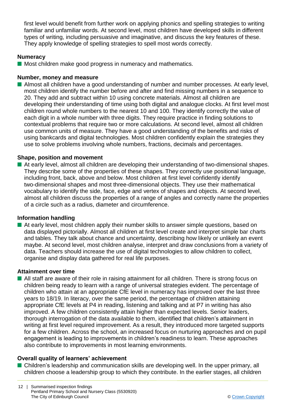first level would benefit from further work on applying phonics and spelling strategies to writing familiar and unfamiliar words. At second level, most children have developed skills in different types of writing, including persuasive and imaginative, and discuss the key features of these. They apply knowledge of spelling strategies to spell most words correctly.

#### **Numeracy**

 $\blacksquare$  Most children make good progress in numeracy and mathematics.

#### **Number, money and measure**

■ Almost all children have a good understanding of number and number processes. At early level, most children identify the number before and after and find missing numbers in a sequence to 20. They add and subtract within 10 using concrete materials. Almost all children are developing their understanding of time using both digital and analogue clocks. At first level most children round whole numbers to the nearest 10 and 100. They identify correctly the value of each digit in a whole number with three digits. They require practice in finding solutions to contextual problems that require two or more calculations. At second level, almost all children use common units of measure. They have a good understanding of the benefits and risks of using bankcards and digital technologies. Most children confidently explain the strategies they use to solve problems involving whole numbers, fractions, decimals and percentages.

#### **Shape, position and movement**

**n** At early level, almost all children are developing their understanding of two-dimensional shapes. They describe some of the properties of these shapes. They correctly use positional language, including front, back, above and below. Most children at first level confidently identify two-dimensional shapes and most three-dimensional objects. They use their mathematical vocabulary to identify the side, face, edge and vertex of shapes and objects. At second level, almost all children discuss the properties of a range of angles and correctly name the properties of a circle such as a radius, diameter and circumference.

#### **Information handling**

 $\blacksquare$  At early level, most children apply their number skills to answer simple questions, based on data displayed pictorially. Almost all children at first level create and interpret simple bar charts and tables. They talk about chance and uncertainty, describing how likely or unlikely an event maybe. At second level, most children analyse, interpret and draw conclusions from a variety of data. Teachers should increase the use of digital technologies to allow children to collect, organise and display data gathered for real life purposes.

#### **Attainment over time**

■ All staff are aware of their role in raising attainment for all children. There is strong focus on children being ready to learn with a range of universal strategies evident. The percentage of children who attain at an appropriate CfE level in numeracy has improved over the last three years to 18/19. In literacy, over the same period, the percentage of children attaining appropriate CfE levels at P4 in reading, listening and talking and at P7 in writing has also improved. A few children consistently attain higher than expected levels. Senior leaders, thorough interrogation of the data available to them, identified that children's attainment in writing at first level required improvement. As a result, they introduced more targeted supports for a few children. Across the school, an increased focus on nurturing approaches and on pupil engagement is leading to improvements in children's readiness to learn. These approaches also contribute to improvements in most learning environments.

#### **Overall quality of learners' achievement**

■ Children's leadership and communication skills are developing well. In the upper primary, all children choose a leadership group to which they contribute. In the earlier stages, all children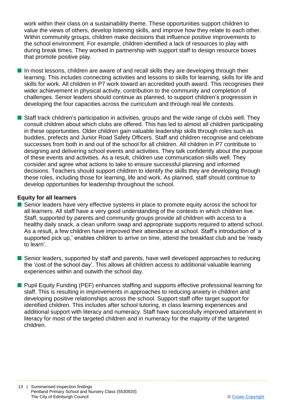work within their class on a sustainability theme. These opportunities support children to value the views of others, develop listening skills, and improve how they relate to each other. Within community groups, children make decisions that influence positive improvements to the school environment. For example, children identified a lack of resources to play with during break times. They worked in partnership with support staff to design resource boxes that promote positive play.

- $\blacksquare$  In most lessons, children are aware of and recall skills they are developing through their learning. This includes connecting activities and lessons to skills for learning, skills for life and skills for work. All children in P7 work toward an accredited youth award. This recognises their wider achievement in physical activity, contribution to the community and completion of challenges. Senior leaders should continue as planned, to support children's progression in developing the four capacities across the curriculum and through real life contexts.
- **n** Staff track children's participation in activities, groups and the wide range of clubs well. They consult children about which clubs are offered. This has led to almost all children participating in these opportunities. Older children gain valuable leadership skills through roles such as buddies, prefects and Junior Road Safety Officers. Staff and children recognise and celebrate successes from both in and out of the school for all children. All children in P7 contribute to designing and delivering school events and activities. They talk confidently about the purpose of these events and activities. As a result, children use communication skills well. They consider and agree what actions to take to ensure successful planning and informed decisions. Teachers should support children to identify the skills they are developing through these roles, including those for learning, life and work. As planned, staff should continue to develop opportunities for leadership throughout the school.

#### **Equity for all learners**

- Senior leaders have very effective systems in place to promote equity across the school for all learners. All staff have a very good understanding of the contexts in which children live. Staff, supported by parents and community groups provide all children with access to a healthy daily snack, a clean uniform swap and appropriate supports required to attend school. As a result, a few children have improved their attendance at school. Staff's introduction of 'a supported pick up,' enables children to arrive on time, attend the breakfast club and be 'ready to learn'.
- Senior leaders, supported by staff and parents, have well developed approaches to reducing the 'cost of the school day'. This allows all children access to additional valuable learning experiences within and outwith the school day.
- Pupil Equity Funding (PEF) enhances staffing and supports effective professional learning for staff. This is resulting in improvements in approaches to reducing anxiety in children and developing positive relationships across the school. Support staff offer target support for identified children. This includes after school tutoring, in class learning experiences and additional support with literacy and numeracy. Staff have successfully improved attainment in literacy for most of the targeted children and in numeracy for the majority of the targeted children.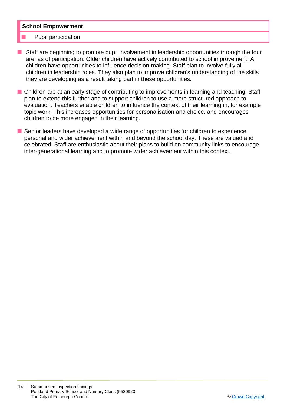#### **School Empowerment**

#### Pupil participation

- **n** Staff are beginning to promote pupil involvement in leadership opportunities through the four arenas of participation. Older children have actively contributed to school improvement. All children have opportunities to influence decision-making. Staff plan to involve fully all children in leadership roles. They also plan to improve children's understanding of the skills they are developing as a result taking part in these opportunities.
- Children are at an early stage of contributing to improvements in learning and teaching. Staff plan to extend this further and to support children to use a more structured approach to evaluation. Teachers enable children to influence the context of their learning in, for example topic work. This increases opportunities for personalisation and choice, and encourages children to be more engaged in their learning.
- **n** Senior leaders have developed a wide range of opportunities for children to experience personal and wider achievement within and beyond the school day. These are valued and celebrated. Staff are enthusiastic about their plans to build on community links to encourage inter-generational learning and to promote wider achievement within this context.